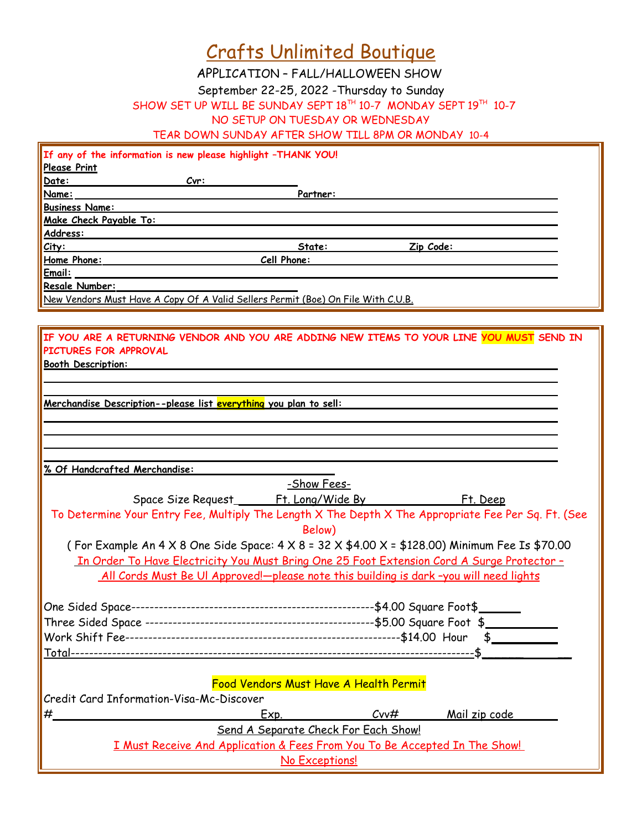|  | <b>Crafts Unlimited Boutique</b> |  |  |  |  |
|--|----------------------------------|--|--|--|--|
|--|----------------------------------|--|--|--|--|

APPLICATION – FALL/HALLOWEEN SHOW

September 22-25, 2022 -Thursday to Sunday

SHOW SET UP WILL BE SUNDAY SEPT  $18^{TH}$  10-7 MONDAY SEPT  $19^{TH}$  10-7

NO SETUP ON TUESDAY OR WEDNESDAY

TEAR DOWN SUNDAY AFTER SHOW TILL 8PM OR MONDAY 10-4

|                                          | If any of the information is new please highlight -THANK YOU!                                                              |                                      |                 |                                                                                                     |
|------------------------------------------|----------------------------------------------------------------------------------------------------------------------------|--------------------------------------|-----------------|-----------------------------------------------------------------------------------------------------|
| <b>Please Print</b>                      |                                                                                                                            |                                      |                 |                                                                                                     |
| Date:                                    | Cvr:                                                                                                                       |                                      |                 |                                                                                                     |
| Name:                                    |                                                                                                                            | Partner:                             |                 |                                                                                                     |
| <b>Business Name:</b>                    |                                                                                                                            |                                      |                 |                                                                                                     |
| Make Check Payable To:                   |                                                                                                                            |                                      |                 |                                                                                                     |
| Address:                                 |                                                                                                                            |                                      |                 |                                                                                                     |
| City:                                    |                                                                                                                            | State:                               | Zip Code:       |                                                                                                     |
|                                          | Home Phone: Cell Phone:                                                                                                    |                                      |                 |                                                                                                     |
| Email:                                   |                                                                                                                            |                                      |                 |                                                                                                     |
| Resale Number:                           |                                                                                                                            |                                      |                 |                                                                                                     |
|                                          | New Vendors Must Have A Copy Of A Valid Sellers Permit (Boe) On File With C.U.B.                                           |                                      |                 |                                                                                                     |
|                                          |                                                                                                                            |                                      |                 |                                                                                                     |
| PICTURES FOR APPROVAL                    | IF YOU ARE A RETURNING VENDOR AND YOU ARE ADDING NEW ITEMS TO YOUR LINE YOU MUST SEND IN                                   |                                      |                 |                                                                                                     |
| <b>Booth Description:</b>                |                                                                                                                            |                                      |                 |                                                                                                     |
|                                          |                                                                                                                            |                                      |                 |                                                                                                     |
|                                          |                                                                                                                            |                                      |                 |                                                                                                     |
|                                          | <u> Merchandise Description--please list everything you plan to sell:</u>                                                  |                                      |                 |                                                                                                     |
|                                          |                                                                                                                            |                                      |                 |                                                                                                     |
|                                          |                                                                                                                            |                                      |                 |                                                                                                     |
|                                          |                                                                                                                            |                                      |                 |                                                                                                     |
|                                          |                                                                                                                            |                                      |                 |                                                                                                     |
| % Of Handcrafted Merchandise:            |                                                                                                                            |                                      |                 |                                                                                                     |
|                                          |                                                                                                                            | -Show Fees-                          |                 |                                                                                                     |
|                                          |                                                                                                                            |                                      |                 |                                                                                                     |
|                                          |                                                                                                                            |                                      |                 | To Determine Your Entry Fee, Multiply The Length X The Depth X The Appropriate Fee Per Sq. Ft. (See |
|                                          |                                                                                                                            |                                      |                 |                                                                                                     |
|                                          |                                                                                                                            | Below)                               |                 |                                                                                                     |
|                                          | (For Example An 4 $\times$ 8 One Side Space: 4 $\times$ 8 = 32 $\times$ \$4.00 $\times$ = \$128.00) Minimum Fee Is \$70.00 |                                      |                 |                                                                                                     |
|                                          | In Order To Have Electricity You Must Bring One 25 Foot Extension Cord A Surge Protector -                                 |                                      |                 |                                                                                                     |
|                                          | All Cords Must Be UI Approved!-please note this building is dark-you will need lights                                      |                                      |                 |                                                                                                     |
|                                          |                                                                                                                            |                                      |                 |                                                                                                     |
|                                          |                                                                                                                            |                                      |                 |                                                                                                     |
|                                          |                                                                                                                            |                                      |                 |                                                                                                     |
|                                          |                                                                                                                            |                                      |                 |                                                                                                     |
|                                          |                                                                                                                            |                                      |                 |                                                                                                     |
|                                          |                                                                                                                            |                                      |                 |                                                                                                     |
|                                          |                                                                                                                            |                                      |                 |                                                                                                     |
|                                          | Food Vendors Must Have A Health Permit                                                                                     |                                      |                 |                                                                                                     |
| Credit Card Information-Visa-Mc-Discover |                                                                                                                            |                                      |                 |                                                                                                     |
|                                          | Exp.                                                                                                                       |                                      | C <sub>VV</sub> | <u>Mail zip code</u>                                                                                |
|                                          |                                                                                                                            | Send A Separate Check For Each Show! |                 |                                                                                                     |
|                                          | <u>I Must Receive And Application &amp; Fees From You To Be Accepted In The Show!</u>                                      |                                      |                 |                                                                                                     |
|                                          |                                                                                                                            | No Exceptions!                       |                 |                                                                                                     |
|                                          |                                                                                                                            |                                      |                 |                                                                                                     |